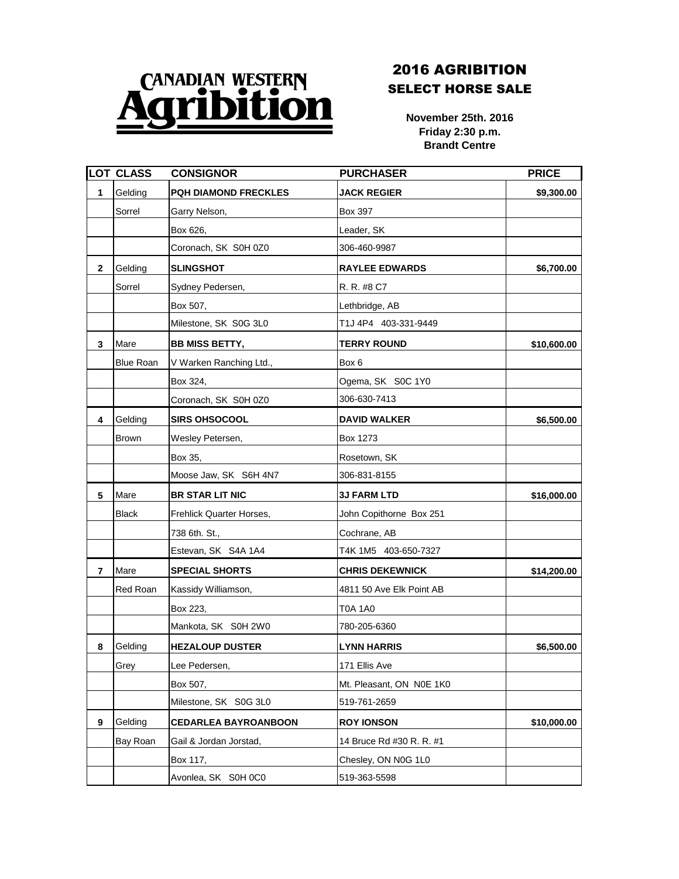## **CANADIAN WESTERN**

## 2016 AGRIBITION SELECT HORSE SALE

**November 25th. 2016 Friday 2:30 p.m. Brandt Centre**

|                 | <b>LOT CLASS</b> | <b>CONSIGNOR</b>            | <b>PURCHASER</b>         | <b>PRICE</b> |
|-----------------|------------------|-----------------------------|--------------------------|--------------|
| 1               | Gelding          | <b>PQH DIAMOND FRECKLES</b> | <b>JACK REGIER</b>       | \$9,300.00   |
|                 | Sorrel           | Garry Nelson,               | <b>Box 397</b>           |              |
|                 |                  | Box 626,                    | Leader, SK               |              |
|                 |                  | Coronach, SK S0H 0Z0        | 306-460-9987             |              |
| $\mathbf{2}$    | Gelding          | <b>SLINGSHOT</b>            | <b>RAYLEE EDWARDS</b>    | \$6,700.00   |
|                 | Sorrel           | Sydney Pedersen,            | R. R. #8 C7              |              |
|                 |                  | Box 507,                    | Lethbridge, AB           |              |
|                 |                  | Milestone, SK S0G 3L0       | T1J 4P4 403-331-9449     |              |
| $\mathbf{3}$    | Mare             | <b>BB MISS BETTY,</b>       | <b>TERRY ROUND</b>       | \$10,600.00  |
|                 | <b>Blue Roan</b> | V Warken Ranching Ltd.,     | Box 6                    |              |
|                 |                  | Box 324,                    | Ogema, SK S0C 1Y0        |              |
|                 |                  | Coronach, SK S0H 0Z0        | 306-630-7413             |              |
| 4               | Gelding          | <b>SIRS OHSOCOOL</b>        | <b>DAVID WALKER</b>      | \$6,500.00   |
|                 | <b>Brown</b>     | Wesley Petersen,            | <b>Box 1273</b>          |              |
|                 |                  | Box 35,                     | Rosetown, SK             |              |
|                 |                  | Moose Jaw, SK S6H 4N7       | 306-831-8155             |              |
| $5\phantom{.0}$ | Mare             | <b>BR STAR LIT NIC</b>      | <b>3J FARM LTD</b>       | \$16,000.00  |
|                 | <b>Black</b>     | Frehlick Quarter Horses,    | John Copithorne Box 251  |              |
|                 |                  | 738 6th. St.,               | Cochrane, AB             |              |
|                 |                  | Estevan, SK S4A 1A4         | T4K 1M5 403-650-7327     |              |
| $\overline{7}$  | Mare             | <b>SPECIAL SHORTS</b>       | <b>CHRIS DEKEWNICK</b>   | \$14,200.00  |
|                 | <b>Red Roan</b>  | Kassidy Williamson,         | 4811 50 Ave Elk Point AB |              |
|                 |                  | Box 223,                    | T0A 1A0                  |              |
|                 |                  | Mankota, SK S0H 2W0         | 780-205-6360             |              |
| 8               | Gelding          | <b>HEZALOUP DUSTER</b>      | <b>LYNN HARRIS</b>       | \$6,500.00   |
|                 | Grey             | Lee Pedersen,               | 171 Ellis Ave            |              |
|                 |                  | Box 507,                    | Mt. Pleasant, ON N0E 1K0 |              |
|                 |                  | Milestone, SK S0G 3L0       | 519-761-2659             |              |
| 9               | Gelding          | <b>CEDARLEA BAYROANBOON</b> | <b>ROY IONSON</b>        | \$10,000.00  |
|                 | Bay Roan         | Gail & Jordan Jorstad,      | 14 Bruce Rd #30 R. R. #1 |              |
|                 |                  | Box 117,                    | Chesley, ON N0G 1L0      |              |
|                 |                  | Avonlea, SK S0H 0C0         | 519-363-5598             |              |